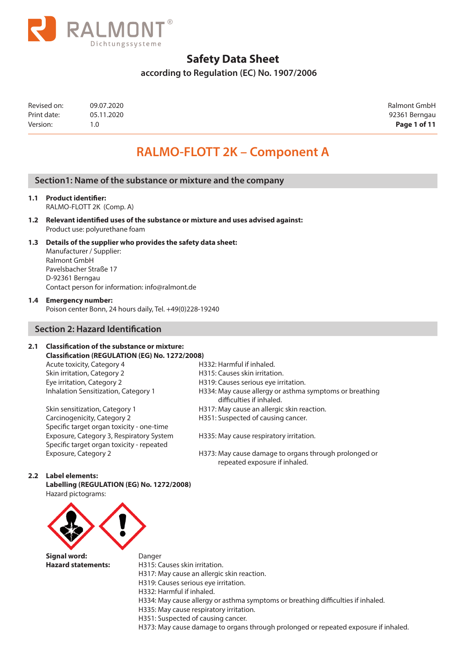

 **according to Regulation (EC) No. 1907/2006**

| Revised on: | 09.07.2020 | Ralmont GmbH  |
|-------------|------------|---------------|
| Print date: | 05.11.2020 | 92361 Berngau |
| Version:    |            | Page 1 of 11  |

92361 Berngau

# **RALMO-FLOTT 2K – Component A**

### **Section1: Name of the substance or mixture and the company**

#### **1.1 Product identifier:**  RALMO-FLOTT 2K (Comp. A)

**1.2 Relevant identified uses of the substance or mixture and uses advised against:** Product use: polyurethane foam

## **1.3 Details of the supplier who provides the safety data sheet:**

Manufacturer / Supplier: Ralmont GmbH Pavelsbacher Straße 17 D-92361 Berngau Contact person for information: info@ralmont.de

#### **1.4 Emergency number:**

Poison center Bonn, 24 hours daily, Tel. +49(0)228-19240

### **Section 2: Hazard Identification**

#### **2.1 Classification of the substance or mixture: Classification (REGULATION (EG) No. 1272/2008)**

Acute toxicity, Category 4 **H332: Harmful if inhaled.** Skin irritation, Category 2 **H315: Causes skin irritation.** Eye irritation, Category 2 **H319:** Causes serious eye irritation.<br>
Inhalation Sensitization, Category 1 H334: May cause allergy or asthma

Carcinogenicity, Category 2 **H351:** Suspected of causing cancer. Specific target organ toxicity - one-time Exposure, Category 3, Respiratory System H335: May cause respiratory irritation. Specific target organ toxicity - repeated

- 
- 
- 
- H334: May cause allergy or asthma symptoms or breathing difficulties if inhaled.
- Skin sensitization, Category 1 H317: May cause an allergic skin reaction.
	-

Exposure, Category 2 H373: May cause damage to organs through prolonged or repeated exposure if inhaled.

#### **2.2 Label elements:**

**Labelling (REGULATION (EG) No. 1272/2008)** Hazard pictograms:



**Signal word:** Danger **Hazard statements:** H315: Causes skin irritation.

- 
- 
- H317: May cause an allergic skin reaction.
	- H319: Causes serious eye irritation.
	- H332: Harmful if inhaled.
- H334: May cause allergy or asthma symptoms or breathing difficulties if inhaled.
- H335: May cause respiratory irritation.
- H351: Suspected of causing cancer.

H373: May cause damage to organs through prolonged or repeated exposure if inhaled.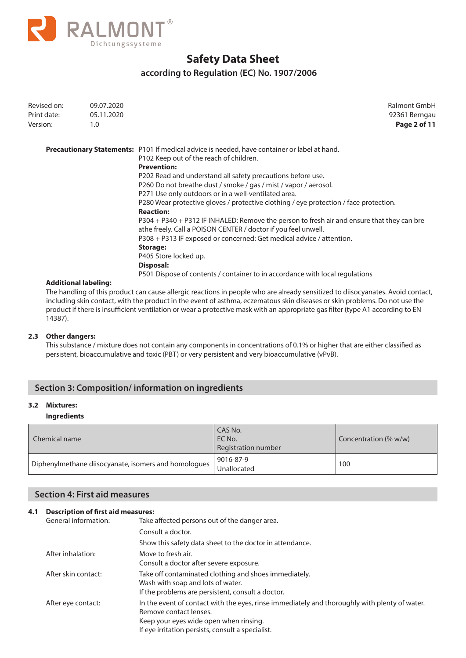

## **according to Regulation (EC) No. 1907/2006**

| Revised on:<br>Print date:<br>Version: | 09.07.2020<br>05.11.2020<br>1.0     | Ralmont GmbH<br>92361 Berngau<br>Page 2 of 11                                                       |
|----------------------------------------|-------------------------------------|-----------------------------------------------------------------------------------------------------|
|                                        |                                     | <b>Precautionary Statements:</b> P101 If medical advice is needed, have container or label at hand. |
|                                        |                                     | P102 Keep out of the reach of children.                                                             |
|                                        |                                     | <b>Prevention:</b>                                                                                  |
|                                        |                                     | P202 Read and understand all safety precautions before use.                                         |
|                                        |                                     | P260 Do not breathe dust / smoke / gas / mist / vapor / aerosol.                                    |
|                                        |                                     | P271 Use only outdoors or in a well-ventilated area.                                                |
|                                        |                                     | P280 Wear protective gloves / protective clothing / eye protection / face protection.               |
|                                        |                                     | <b>Reaction:</b>                                                                                    |
|                                        |                                     | P304 + P340 + P312 IF INHALED: Remove the person to fresh air and ensure that they can bre          |
|                                        |                                     | athe freely. Call a POISON CENTER / doctor if you feel unwell.                                      |
|                                        |                                     | P308 + P313 IF exposed or concerned: Get medical advice / attention.                                |
|                                        |                                     | Storage:                                                                                            |
|                                        |                                     | P405 Store locked up.                                                                               |
|                                        |                                     | Disposal:                                                                                           |
|                                        |                                     | P501 Dispose of contents / container to in accordance with local regulations                        |
|                                        | A -1-1949 - -- - 1-1 - 1- - 19-- -- |                                                                                                     |

#### **Additional labeling:**

The handling of this product can cause allergic reactions in people who are already sensitized to diisocyanates. Avoid contact, including skin contact, with the product in the event of asthma, eczematous skin diseases or skin problems. Do not use the product if there is insufficient ventilation or wear a protective mask with an appropriate gas filter (type A1 according to EN 14387).

#### **2.3 Other dangers:**

This substance / mixture does not contain any components in concentrations of 0.1% or higher that are either classified as persistent, bioaccumulative and toxic (PBT) or very persistent and very bioaccumulative (vPvB).

### **Section 3: Composition/ information on ingredients**

#### **3.2 Mixtures:**

#### **Ingredients**

| Chemical name                                        | CAS No.<br>EC No.<br>Registration number | Concentration (% w/w) |
|------------------------------------------------------|------------------------------------------|-----------------------|
| Diphenylmethane diisocyanate, isomers and homologues | 9016-87-9<br>Unallocated                 | 100                   |

# **Section 4: First aid measures**

#### **4.1 Description of first aid measures:**

| General information: | Take affected persons out of the danger area.                                                                                                                                                                          |
|----------------------|------------------------------------------------------------------------------------------------------------------------------------------------------------------------------------------------------------------------|
|                      | Consult a doctor.                                                                                                                                                                                                      |
|                      | Show this safety data sheet to the doctor in attendance.                                                                                                                                                               |
| After inhalation:    | Move to fresh air.<br>Consult a doctor after severe exposure.                                                                                                                                                          |
| After skin contact:  | Take off contaminated clothing and shoes immediately.<br>Wash with soap and lots of water.<br>If the problems are persistent, consult a doctor.                                                                        |
| After eye contact:   | In the event of contact with the eyes, rinse immediately and thoroughly with plenty of water.<br>Remove contact lenses.<br>Keep your eyes wide open when rinsing.<br>If eye irritation persists, consult a specialist. |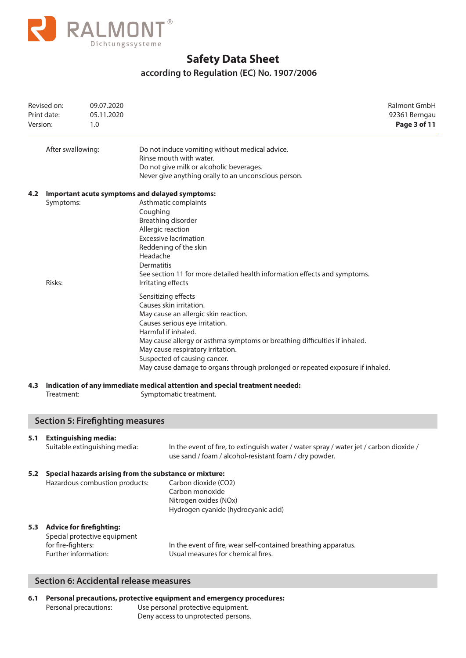

# **according to Regulation (EC) No. 1907/2006**

| Revised on:<br>Print date:<br>Version:<br>1.0 |                                                                                          | 09.07.2020<br>05.11.2020                |                                                                                                       |                                                                                                                                                                                                                                                                                                                                                                                     | Ralmont GmbH<br>92361 Berngau<br>Page 3 of 11 |
|-----------------------------------------------|------------------------------------------------------------------------------------------|-----------------------------------------|-------------------------------------------------------------------------------------------------------|-------------------------------------------------------------------------------------------------------------------------------------------------------------------------------------------------------------------------------------------------------------------------------------------------------------------------------------------------------------------------------------|-----------------------------------------------|
|                                               | After swallowing:                                                                        |                                         |                                                                                                       | Do not induce vomiting without medical advice.<br>Rinse mouth with water.<br>Do not give milk or alcoholic beverages.<br>Never give anything orally to an unconscious person.                                                                                                                                                                                                       |                                               |
| 4.2                                           | Symptoms:<br>Risks:                                                                      |                                         | Coughing<br>Allergic reaction<br>Headache<br><b>Dermatitis</b><br>Irritating effects                  | Important acute symptoms and delayed symptoms:<br>Asthmatic complaints<br>Breathing disorder<br><b>Excessive lacrimation</b><br>Reddening of the skin<br>See section 11 for more detailed health information effects and symptoms.                                                                                                                                                  |                                               |
|                                               |                                                                                          |                                         |                                                                                                       | Sensitizing effects<br>Causes skin irritation.<br>May cause an allergic skin reaction.<br>Causes serious eye irritation.<br>Harmful if inhaled.<br>May cause allergy or asthma symptoms or breathing difficulties if inhaled.<br>May cause respiratory irritation.<br>Suspected of causing cancer.<br>May cause damage to organs through prolonged or repeated exposure if inhaled. |                                               |
| 4.3                                           | Treatment:                                                                               |                                         | Indication of any immediate medical attention and special treatment needed:<br>Symptomatic treatment. |                                                                                                                                                                                                                                                                                                                                                                                     |                                               |
|                                               |                                                                                          | <b>Section 5: Firefighting measures</b> |                                                                                                       |                                                                                                                                                                                                                                                                                                                                                                                     |                                               |
| 5.1                                           | <b>Extinguishing media:</b>                                                              | Suitable extinguishing media:           |                                                                                                       | In the event of fire, to extinguish water / water spray / water jet / carbon dioxide /<br>use sand / foam / alcohol-resistant foam / dry powder.                                                                                                                                                                                                                                    |                                               |
| 5.2                                           | Special hazards arising from the substance or mixture:<br>Hazardous combustion products: |                                         |                                                                                                       | Carbon dioxide (CO2)<br>Carbon monoxide<br>Nitrogen oxides (NOx)<br>Hydrogen cyanide (hydrocyanic acid)                                                                                                                                                                                                                                                                             |                                               |
|                                               | 5.3 Advice for firefighting:<br>for fire-fighters:<br>Further information:               | Special protective equipment            |                                                                                                       | In the event of fire, wear self-contained breathing apparatus.<br>Usual measures for chemical fires.                                                                                                                                                                                                                                                                                |                                               |
|                                               |                                                                                          |                                         |                                                                                                       |                                                                                                                                                                                                                                                                                                                                                                                     |                                               |

### **Section 6: Accidental release measures**

**6.1 Personal precautions, protective equipment and emergency procedures:** Personal precautions: Use personal protective equipment. Deny access to unprotected persons.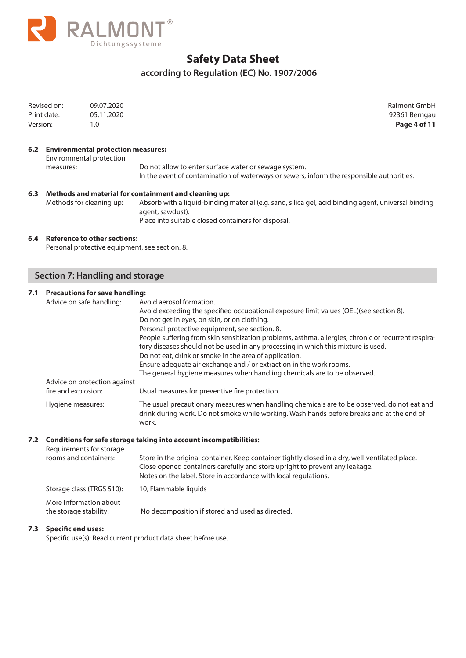

# **according to Regulation (EC) No. 1907/2006**

| Revised on:<br>Print date:<br>Version: |                          | 09.07.2020<br>05.11.2020<br>1.0                                    | <b>Ralmont GmbH</b><br>92361 Berngau<br>Page 4 of 11                                                                                                                                                                                                                                                                                                                                                                                                                                                                                                                                                                          |  |
|----------------------------------------|--------------------------|--------------------------------------------------------------------|-------------------------------------------------------------------------------------------------------------------------------------------------------------------------------------------------------------------------------------------------------------------------------------------------------------------------------------------------------------------------------------------------------------------------------------------------------------------------------------------------------------------------------------------------------------------------------------------------------------------------------|--|
|                                        | measures:                | 6.2 Environmental protection measures:<br>Environmental protection | Do not allow to enter surface water or sewage system.<br>In the event of contamination of waterways or sewers, inform the responsible authorities.                                                                                                                                                                                                                                                                                                                                                                                                                                                                            |  |
| 6.3                                    | Methods for cleaning up: |                                                                    | Methods and material for containment and cleaning up:<br>Absorb with a liquid-binding material (e.g. sand, silica gel, acid binding agent, universal binding<br>agent, sawdust).<br>Place into suitable closed containers for disposal.                                                                                                                                                                                                                                                                                                                                                                                       |  |
| 6.4                                    |                          | <b>Reference to other sections:</b>                                | Personal protective equipment, see section. 8.                                                                                                                                                                                                                                                                                                                                                                                                                                                                                                                                                                                |  |
|                                        |                          | <b>Section 7: Handling and storage</b>                             |                                                                                                                                                                                                                                                                                                                                                                                                                                                                                                                                                                                                                               |  |
| 7.1                                    |                          | <b>Precautions for save handling:</b><br>Advice on safe handling:  | Avoid aerosol formation.<br>Avoid exceeding the specified occupational exposure limit values (OEL)(see section 8).<br>Do not get in eyes, on skin, or on clothing.<br>Personal protective equipment, see section. 8.<br>People suffering from skin sensitization problems, asthma, allergies, chronic or recurrent respira-<br>tory diseases should not be used in any processing in which this mixture is used.<br>Do not eat, drink or smoke in the area of application.<br>Ensure adequate air exchange and / or extraction in the work rooms.<br>The general hygiene measures when handling chemicals are to be observed. |  |

Advice on protection against<br>fire and explosion: Usual measures for preventive fire protection. Hygiene measures: The usual precautionary measures when handling chemicals are to be observed. do not eat and drink during work. Do not smoke while working. Wash hands before breaks and at the end of work.

### **7.2 Conditions for safe storage taking into account incompatibilities:**

| Requirements for storage<br>rooms and containers: | Store in the original container. Keep container tightly closed in a dry, well-ventilated place.<br>Close opened containers carefully and store upright to prevent any leakage.<br>Notes on the label. Store in accordance with local regulations. |
|---------------------------------------------------|---------------------------------------------------------------------------------------------------------------------------------------------------------------------------------------------------------------------------------------------------|
| Storage class (TRGS 510):                         | 10, Flammable liquids                                                                                                                                                                                                                             |
| More information about<br>the storage stability:  | No decomposition if stored and used as directed.                                                                                                                                                                                                  |

#### **7.3 Specific end uses:**

Specific use(s): Read current product data sheet before use.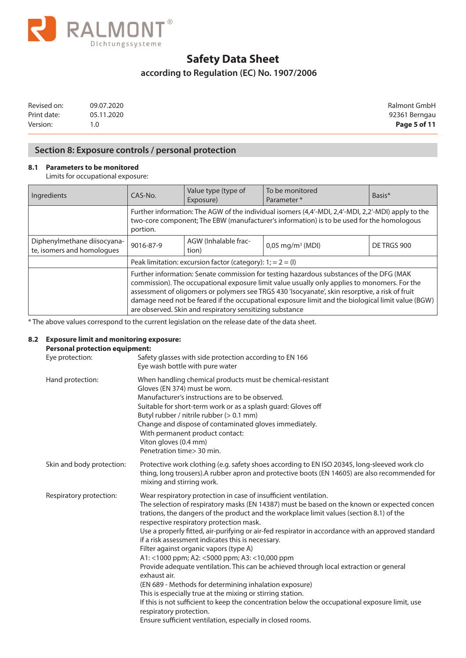

# **according to Regulation (EC) No. 1907/2006**

| Revised on: | 09.07.2020 |
|-------------|------------|
| Print date: | 05.11.2020 |
| Version:    | 1.0        |

Ralmont GmbH 92361 Berngau **Page 5 of 11** 

# **Section 8: Exposure controls / personal protection**

### **8.1 Parameters to be monitored**

Limits for occupational exposure:

| Ingredients                                               | CAS-No.                                                                                                                                                                                                                                                                                                                                                                                                                                                     | Value type (type of<br>Exposure) | To be monitored<br>Parameter*  | Basis*      |
|-----------------------------------------------------------|-------------------------------------------------------------------------------------------------------------------------------------------------------------------------------------------------------------------------------------------------------------------------------------------------------------------------------------------------------------------------------------------------------------------------------------------------------------|----------------------------------|--------------------------------|-------------|
|                                                           | Further information: The AGW of the individual isomers (4,4'-MDI, 2,4'-MDI, 2,2'-MDI) apply to the<br>two-core component; The EBW (manufacturer's information) is to be used for the homologous<br>portion.                                                                                                                                                                                                                                                 |                                  |                                |             |
| Diphenylmethane diisocyana-<br>te, isomers and homologues | 9016-87-9                                                                                                                                                                                                                                                                                                                                                                                                                                                   | AGW (Inhalable frac-<br>tion)    | $0.05 \,\mathrm{mg/m^3}$ (MDI) | DE TRGS 900 |
|                                                           | Peak limitation: excursion factor (category): $1; = 2 = (1)$                                                                                                                                                                                                                                                                                                                                                                                                |                                  |                                |             |
|                                                           | Further information: Senate commission for testing hazardous substances of the DFG (MAK<br>commission). The occupational exposure limit value usually only applies to monomers. For the<br>assessment of oligomers or polymers see TRGS 430 'Isocyanate', skin resorptive, a risk of fruit<br>damage need not be feared if the occupational exposure limit and the biological limit value (BGW)<br>are observed. Skin and respiratory sensitizing substance |                                  |                                |             |

\* The above values correspond to the current legislation on the release date of the data sheet.

#### **8.2 Exposure limit and monitoring exposure: Personal protection equipment:**

| Eye protection:           | Safety glasses with side protection according to EN 166<br>Eye wash bottle with pure water                                                                                                                                                                                                                                                                                                                                                                                                                                                                                                                                                                                                                                                                                                                                                                                                                                                                                                |
|---------------------------|-------------------------------------------------------------------------------------------------------------------------------------------------------------------------------------------------------------------------------------------------------------------------------------------------------------------------------------------------------------------------------------------------------------------------------------------------------------------------------------------------------------------------------------------------------------------------------------------------------------------------------------------------------------------------------------------------------------------------------------------------------------------------------------------------------------------------------------------------------------------------------------------------------------------------------------------------------------------------------------------|
| Hand protection:          | When handling chemical products must be chemical-resistant<br>Gloves (EN 374) must be worn.<br>Manufacturer's instructions are to be observed.<br>Suitable for short-term work or as a splash guard: Gloves off<br>Butyl rubber / nitrile rubber (> 0.1 mm)<br>Change and dispose of contaminated gloves immediately.<br>With permanent product contact:<br>Viton gloves (0.4 mm)<br>Penetration time > 30 min.                                                                                                                                                                                                                                                                                                                                                                                                                                                                                                                                                                           |
| Skin and body protection: | Protective work clothing (e.g. safety shoes according to EN ISO 20345, long-sleeved work clo<br>thing, long trousers).A rubber apron and protective boots (EN 14605) are also recommended for<br>mixing and stirring work.                                                                                                                                                                                                                                                                                                                                                                                                                                                                                                                                                                                                                                                                                                                                                                |
| Respiratory protection:   | Wear respiratory protection in case of insufficient ventilation.<br>The selection of respiratory masks (EN 14387) must be based on the known or expected concen<br>trations, the dangers of the product and the workplace limit values (section 8.1) of the<br>respective respiratory protection mask.<br>Use a properly fitted, air-purifying or air-fed respirator in accordance with an approved standard<br>if a risk assessment indicates this is necessary.<br>Filter against organic vapors (type A)<br>A1: <1000 ppm; A2: <5000 ppm; A3: <10,000 ppm<br>Provide adequate ventilation. This can be achieved through local extraction or general<br>exhaust air.<br>(EN 689 - Methods for determining inhalation exposure)<br>This is especially true at the mixing or stirring station.<br>If this is not sufficient to keep the concentration below the occupational exposure limit, use<br>respiratory protection.<br>Ensure sufficient ventilation, especially in closed rooms. |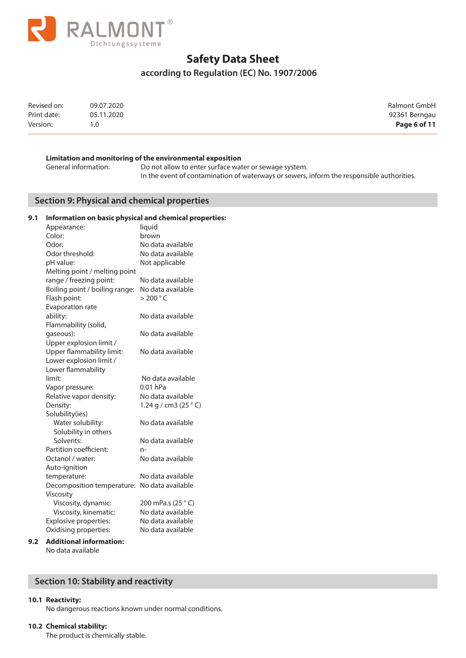

## **according to Regulation (EC) No. 1907/2006**

| Revised on: | 09.07.2020 | Ralmont GmbH  |
|-------------|------------|---------------|
| Print date: | 05.11.2020 | 92361 Berngau |
| Version:    | 1.0        | Page 6 of 11  |

#### **Limitation and monitoring of the environmental exposition**

General information: Do not allow to enter surface water or sewage system. In the event of contamination of waterways or sewers, inform the responsible authorities.

### **Section 9: Physical and chemical properties**

### **9.1 Information on basic physical and chemical properties:**

| Appearance:                    | liquid                         |
|--------------------------------|--------------------------------|
| Color:                         | brown                          |
| Odor:                          | No data available              |
| Odor threshold:                | No data available              |
| pH value:                      | Not applicable                 |
| Melting point / melting point  |                                |
| range / freezing point:        | No data available              |
| Boiling point / boiling range: | No data available              |
| Flash point:                   | $>$ 200 $^{\circ}$ C           |
| Evaporation rate               |                                |
| ability:                       | No data available              |
| Flammability (solid,           |                                |
| gaseous):                      | No data available              |
| Upper explosion limit /        |                                |
| Upper flammability limit:      | No data available              |
| Lower explosion limit /        |                                |
| Lower flammability             |                                |
| limit:                         | No data available              |
| Vapor pressure:                | $0.01$ hPa                     |
| Relative vapor density:        | No data available              |
| Density:                       | 1.24 g / cm3 (25 $^{\circ}$ C) |
| Solubility(ies)                |                                |
| Water solubility:              | No data available              |
| Solubility in others           |                                |
| Solvents:                      | No data available              |
| Partition coefficient:         | n-                             |
| Octanol / water:               | No data available              |
| Auto-ignition                  |                                |
| temperature:                   | No data available              |
| Decomposition temperature:     | No data available              |
| Viscosity                      |                                |
| Viscosity, dynamic:            | 200 mPa.s (25 °C)              |
| Viscosity, kinematic:          | No data available              |
| Explosive properties:          | No data available              |
| Oxidising properties:          | No data available              |
|                                |                                |

### **9.2 Additional information:**

No data available

## **Section 10: Stability and reactivity**

#### **10.1 Reactivity:**

No dangerous reactions known under normal conditions.

#### **10.2 Chemical stability:**

The product is chemically stable.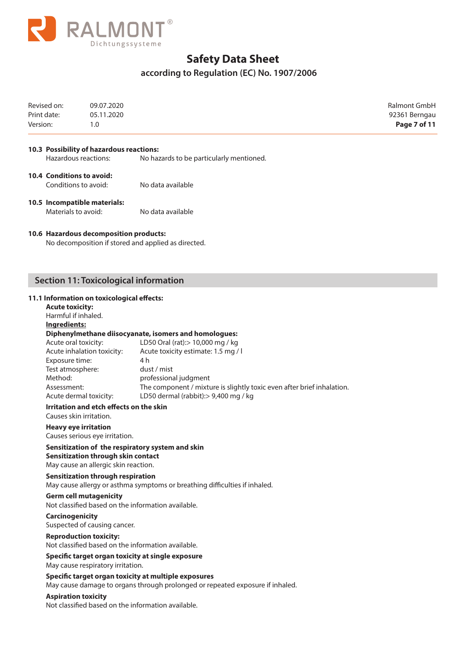

# **according to Regulation (EC) No. 1907/2006**

| Revised on:<br>Print date:<br>Version:                                                                                                                | 09.07.2020<br>05.11.2020<br>1.0                                                                                                               |                                                                                                                                                                                                                                                                                                    | Ralmont GmbH<br>92361 Berngau<br>Page 7 of 11 |
|-------------------------------------------------------------------------------------------------------------------------------------------------------|-----------------------------------------------------------------------------------------------------------------------------------------------|----------------------------------------------------------------------------------------------------------------------------------------------------------------------------------------------------------------------------------------------------------------------------------------------------|-----------------------------------------------|
|                                                                                                                                                       | 10.3 Possibility of hazardous reactions:<br>Hazardous reactions:                                                                              | No hazards to be particularly mentioned.                                                                                                                                                                                                                                                           |                                               |
|                                                                                                                                                       |                                                                                                                                               |                                                                                                                                                                                                                                                                                                    |                                               |
| <b>10.4 Conditions to avoid:</b>                                                                                                                      | Conditions to avoid:                                                                                                                          | No data available                                                                                                                                                                                                                                                                                  |                                               |
| Materials to avoid:                                                                                                                                   | 10.5 Incompatible materials:                                                                                                                  | No data available                                                                                                                                                                                                                                                                                  |                                               |
|                                                                                                                                                       | 10.6 Hazardous decomposition products:                                                                                                        | No decomposition if stored and applied as directed.                                                                                                                                                                                                                                                |                                               |
|                                                                                                                                                       | <b>Section 11: Toxicological information</b>                                                                                                  |                                                                                                                                                                                                                                                                                                    |                                               |
| <b>Acute toxicity:</b><br>Harmful if inhaled.<br>Ingredients:<br>Acute oral toxicity:<br>Exposure time:<br>Test atmosphere:<br>Method:<br>Assessment: | 11.1 Information on toxicological effects:<br>Acute inhalation toxicity:<br>Acute dermal toxicity:<br>Irritation and etch effects on the skin | Diphenylmethane diisocyanate, isomers and homologues:<br>LD50 Oral (rat): > 10,000 mg / kg<br>Acute toxicity estimate: 1.5 mg / l<br>4 h<br>dust / mist<br>professional judgment<br>The component / mixture is slightly toxic even after brief inhalation.<br>LD50 dermal (rabbit):> 9,400 mg / kg |                                               |
|                                                                                                                                                       | Causes skin irritation.                                                                                                                       |                                                                                                                                                                                                                                                                                                    |                                               |
|                                                                                                                                                       | <b>Heavy eye irritation</b><br>Causes serious eye irritation.                                                                                 |                                                                                                                                                                                                                                                                                                    |                                               |
|                                                                                                                                                       | Sensitization through skin contact<br>May cause an allergic skin reaction.                                                                    | Sensitization of the respiratory system and skin                                                                                                                                                                                                                                                   |                                               |
|                                                                                                                                                       | <b>Sensitization through respiration</b>                                                                                                      | May cause allergy or asthma symptoms or breathing difficulties if inhaled.                                                                                                                                                                                                                         |                                               |
|                                                                                                                                                       | <b>Germ cell mutagenicity</b>                                                                                                                 | Not classified based on the information available.                                                                                                                                                                                                                                                 |                                               |
| <b>Carcinogenicity</b>                                                                                                                                | Suspected of causing cancer.                                                                                                                  |                                                                                                                                                                                                                                                                                                    |                                               |
|                                                                                                                                                       | <b>Reproduction toxicity:</b>                                                                                                                 | Not classified based on the information available.                                                                                                                                                                                                                                                 |                                               |
|                                                                                                                                                       | May cause respiratory irritation.                                                                                                             | Specific target organ toxicity at single exposure                                                                                                                                                                                                                                                  |                                               |
|                                                                                                                                                       |                                                                                                                                               | Specific target organ toxicity at multiple exposures<br>May cause damage to organs through prolonged or repeated exposure if inhaled.                                                                                                                                                              |                                               |

**Aspiration toxicity**

Not classified based on the information available.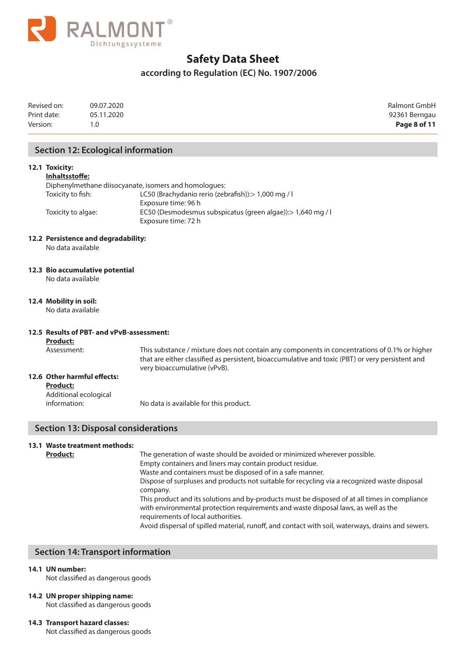

## **according to Regulation (EC) No. 1907/2006**

| Revised on: | 09.07.2020 | Ralmont GmbH  |
|-------------|------------|---------------|
| Print date: | 05.11.2020 | 92361 Berngau |
| Version:    | .0         | Page 8 of 11  |

### **Section 12: Ecological information**

#### **12.1 Toxicity:**

**Inhaltsstoffe:**

|                    | Diphenylmethane diisocyanate, isomers and homologues:                               |
|--------------------|-------------------------------------------------------------------------------------|
| Toxicity to fish:  | LC50 (Brachydanio rerio (zebrafish)): > 1,000 mg / l                                |
|                    | Exposure time: 96 h                                                                 |
| Toxicity to algae: | EC50 (Desmodesmus subspicatus (green algae)): > 1,640 mg / l<br>Exposure time: 72 h |

#### **12.2 Persistence and degradability:**

No data available

#### **12.3 Bio accumulative potential**

No data available

#### **12.4 Mobility in soil:**

No data available

#### **12.5 Results of PBT- and vPvB-assessment:**

**Product:**

Assessment: This substance / mixture does not contain any components in concentrations of 0.1% or higher that are either classified as persistent, bioaccumulative and toxic (PBT) or very persistent and very bioaccumulative (vPvB).

### **12.6 Other harmful effects:**

#### **Product:**

Additional ecological

information: No data is available for this product.

## **Section 13: Disposal considerations**

## **13.1 Waste treatment methods:**

**Product:** The generation of waste should be avoided or minimized wherever possible. Empty containers and liners may contain product residue. Waste and containers must be disposed of in a safe manner. Dispose of surpluses and products not suitable for recycling via a recognized waste disposal company. This product and its solutions and by-products must be disposed of at all times in compliance with environmental protection requirements and waste disposal laws, as well as the requirements of local authorities. Avoid dispersal of spilled material, runoff, and contact with soil, waterways, drains and sewers.

## **Section 14: Transport information**

#### **14.1 UN number:**

Not classified as dangerous goods

#### **14.2 UN proper shipping name:**

Not classified as dangerous goods

#### **14.3 Transport hazard classes:**

Not classified as dangerous goods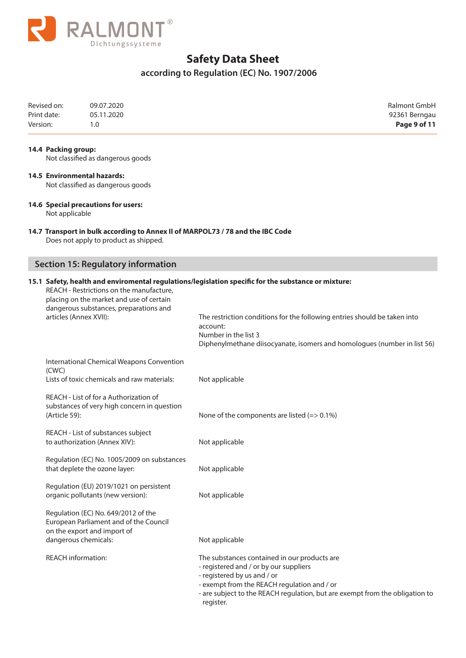

# **according to Regulation (EC) No. 1907/2006**

| Revised on: | 09.07.2020 | <b>Ralmont GmbH</b> |
|-------------|------------|---------------------|
| Print date: | 05.11.2020 | 92361 Berngau       |
| Version:    |            | Page 9 of 11        |

#### **14.4 Packing group:**

Not classified as dangerous goods

# **14.5 Environmental hazards:**

Not classified as dangerous goods

### **14.6 Special precautions for users:**

Not applicable

### **14.7 Transport in bulk according to Annex II of MARPOL73 / 78 and the IBC Code** Does not apply to product as shipped.

## **Section 15: Regulatory information**

| REACH - Restrictions on the manufacture,<br>placing on the market and use of certain<br>dangerous substances, preparations and | 15.1 Safety, health and enviromental regulations/legislation specific for the substance or mixture:                                                                                                                                                               |  |  |
|--------------------------------------------------------------------------------------------------------------------------------|-------------------------------------------------------------------------------------------------------------------------------------------------------------------------------------------------------------------------------------------------------------------|--|--|
| articles (Annex XVII):                                                                                                         | The restriction conditions for the following entries should be taken into<br>account:<br>Number in the list 3<br>Diphenylmethane diisocyanate, isomers and homologues (number in list 56)                                                                         |  |  |
| International Chemical Weapons Convention<br>(CWC)                                                                             |                                                                                                                                                                                                                                                                   |  |  |
| Lists of toxic chemicals and raw materials:                                                                                    | Not applicable                                                                                                                                                                                                                                                    |  |  |
| REACH - List of for a Authorization of<br>substances of very high concern in question<br>(Article 59):                         | None of the components are listed $(=> 0.1\%)$                                                                                                                                                                                                                    |  |  |
| REACH - List of substances subject<br>to authorization (Annex XIV):                                                            | Not applicable                                                                                                                                                                                                                                                    |  |  |
| Regulation (EC) No. 1005/2009 on substances<br>that deplete the ozone layer:                                                   | Not applicable                                                                                                                                                                                                                                                    |  |  |
| Regulation (EU) 2019/1021 on persistent<br>organic pollutants (new version):                                                   | Not applicable                                                                                                                                                                                                                                                    |  |  |
| Regulation (EC) No. 649/2012 of the<br>European Parliament and of the Council<br>on the export and import of                   |                                                                                                                                                                                                                                                                   |  |  |
| dangerous chemicals:                                                                                                           | Not applicable                                                                                                                                                                                                                                                    |  |  |
| <b>REACH information:</b>                                                                                                      | The substances contained in our products are<br>- registered and / or by our suppliers<br>- registered by us and / or<br>- exempt from the REACH regulation and / or<br>- are subject to the REACH regulation, but are exempt from the obligation to<br>register. |  |  |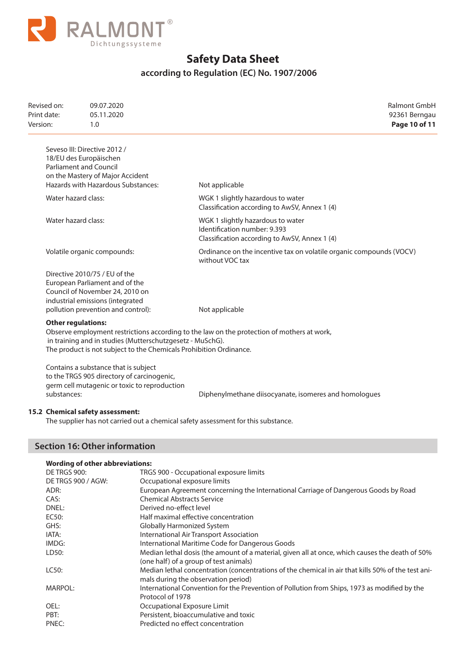

# **according to Regulation (EC) No. 1907/2006**

| Revised on:<br>Print date:<br>Version: | 09.07.2020<br>05.11.2020<br>1.0                                                                                                                                              | Ralmont GmbH<br>92361 Berngau<br>Page 10 of 11                                                                     |
|----------------------------------------|------------------------------------------------------------------------------------------------------------------------------------------------------------------------------|--------------------------------------------------------------------------------------------------------------------|
|                                        | Seveso III: Directive 2012 /<br>18/EU des Europäischen<br><b>Parliament and Council</b><br>on the Mastery of Major Accident<br>Hazards with Hazardous Substances:            | Not applicable                                                                                                     |
| Water hazard class:                    |                                                                                                                                                                              | WGK 1 slightly hazardous to water<br>Classification according to AwSV, Annex 1 (4)                                 |
| Water hazard class:                    |                                                                                                                                                                              | WGK 1 slightly hazardous to water<br>Identification number: 9.393<br>Classification according to AwSV, Annex 1 (4) |
|                                        | Volatile organic compounds:                                                                                                                                                  | Ordinance on the incentive tax on volatile organic compounds (VOCV)<br>without VOC tax                             |
|                                        | Directive 2010/75 / EU of the<br>European Parliament and of the<br>Council of November 24, 2010 on<br>industrial emissions (integrated<br>pollution prevention and control): | Not applicable                                                                                                     |
|                                        | <b>Other regulations:</b><br>in training and in studies (Mutterschutzgesetz - MuSchG).<br>The product is not subject to the Chemicals Prohibition Ordinance.                 | Observe employment restrictions according to the law on the protection of mothers at work,                         |
| substances:                            | Contains a substance that is subject<br>to the TRGS 905 directory of carcinogenic,<br>germ cell mutagenic or toxic to reproduction                                           | Diphenylmethane diisocyanate, isomeres and homologues                                                              |

## **15.2 Chemical safety assessment:**

The supplier has not carried out a chemical safety assessment for this substance.

## **Section 16: Other information**

|  | <b>Wording of other abbreviations:</b> |  |  |  |
|--|----------------------------------------|--|--|--|
|--|----------------------------------------|--|--|--|

| DE TRGS 900:       | TRGS 900 - Occupational exposure limits                                                                                                   |
|--------------------|-------------------------------------------------------------------------------------------------------------------------------------------|
| DE TRGS 900 / AGW: | Occupational exposure limits                                                                                                              |
| ADR:               | European Agreement concerning the International Carriage of Dangerous Goods by Road                                                       |
| CAS:               | <b>Chemical Abstracts Service</b>                                                                                                         |
| DNEL:              | Derived no-effect level                                                                                                                   |
| EC50:              | Half maximal effective concentration                                                                                                      |
| GHS:               | Globally Harmonized System                                                                                                                |
| IATA:              | International Air Transport Association                                                                                                   |
| IMDG:              | International Maritime Code for Dangerous Goods                                                                                           |
| LD50:              | Median lethal dosis (the amount of a material, given all at once, which causes the death of 50%<br>(one half) of a group of test animals) |
| LC50:              | Median lethal concentration (concentrations of the chemical in air that kills 50% of the test ani-<br>mals during the observation period) |
| MARPOL:            | International Convention for the Prevention of Pollution from Ships, 1973 as modified by the<br>Protocol of 1978                          |
| OEL:               | Occupational Exposure Limit                                                                                                               |
| PBT:               | Persistent, bioaccumulative and toxic                                                                                                     |
| PNEC:              | Predicted no effect concentration                                                                                                         |
|                    |                                                                                                                                           |